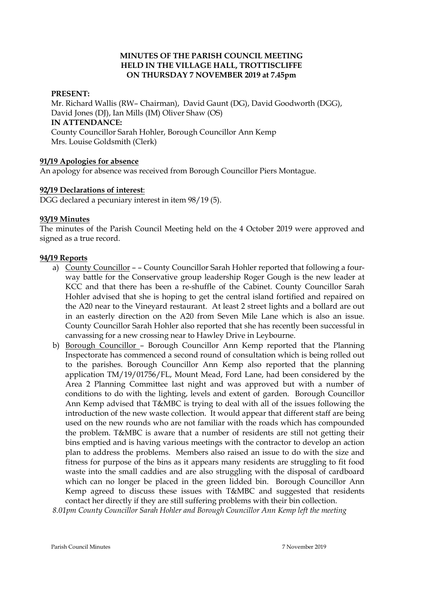## **MINUTES OF THE PARISH COUNCIL MEETING HELD IN THE VILLAGE HALL, TROTTISCLIFFE ON THURSDAY 7 NOVEMBER 2019 at 7.45pm**

## **PRESENT:**

Mr. Richard Wallis (RW– Chairman), David Gaunt (DG), David Goodworth (DGG), David Jones (DJ), Ian Mills (IM) Oliver Shaw (OS) **IN ATTENDANCE:**  County Councillor Sarah Hohler, Borough Councillor Ann Kemp Mrs. Louise Goldsmith (Clerk)

## **91/19 Apologies for absence**

An apology for absence was received from Borough Councillor Piers Montague.

## **92/19 Declarations of interest**:

DGG declared a pecuniary interest in item 98/19 (5).

## **93/19 Minutes**

The minutes of the Parish Council Meeting held on the 4 October 2019 were approved and signed as a true record.

## **94/19 Reports**

- a) County Councillor – County Councillor Sarah Hohler reported that following a fourway battle for the Conservative group leadership Roger Gough is the new leader at KCC and that there has been a re-shuffle of the Cabinet. County Councillor Sarah Hohler advised that she is hoping to get the central island fortified and repaired on the A20 near to the Vineyard restaurant. At least 2 street lights and a bollard are out in an easterly direction on the A20 from Seven Mile Lane which is also an issue. County Councillor Sarah Hohler also reported that she has recently been successful in canvassing for a new crossing near to Hawley Drive in Leybourne.
- b) Borough Councillor Borough Councillor Ann Kemp reported that the Planning Inspectorate has commenced a second round of consultation which is being rolled out to the parishes. Borough Councillor Ann Kemp also reported that the planning application TM/19/01756/FL, Mount Mead, Ford Lane, had been considered by the Area 2 Planning Committee last night and was approved but with a number of conditions to do with the lighting, levels and extent of garden. Borough Councillor Ann Kemp advised that T&MBC is trying to deal with all of the issues following the introduction of the new waste collection. It would appear that different staff are being used on the new rounds who are not familiar with the roads which has compounded the problem. T&MBC is aware that a number of residents are still not getting their bins emptied and is having various meetings with the contractor to develop an action plan to address the problems. Members also raised an issue to do with the size and fitness for purpose of the bins as it appears many residents are struggling to fit food waste into the small caddies and are also struggling with the disposal of cardboard which can no longer be placed in the green lidded bin. Borough Councillor Ann Kemp agreed to discuss these issues with T&MBC and suggested that residents contact her directly if they are still suffering problems with their bin collection.

*8.01pm County Councillor Sarah Hohler and Borough Councillor Ann Kemp left the meeting*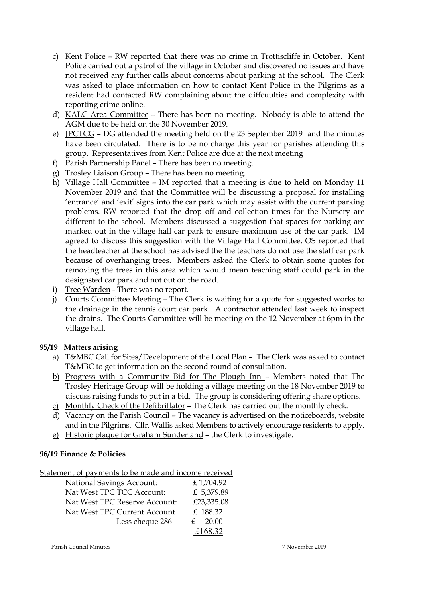- c) Kent Police RW reported that there was no crime in Trottiscliffe in October. Kent Police carried out a patrol of the village in October and discovered no issues and have not received any further calls about concerns about parking at the school. The Clerk was asked to place information on how to contact Kent Police in the Pilgrims as a resident had contacted RW complaining about the diffcuulties and complexity with reporting crime online.
- d) KALC Area Committee There has been no meeting. Nobody is able to attend the AGM due to be held on the 30 November 2019.
- e) JPCTCG DG attended the meeting held on the 23 September 2019 and the minutes have been circulated. There is to be no charge this year for parishes attending this group. Representatives from Kent Police are due at the next meeting
- f) Parish Partnership Panel There has been no meeting.
- g) Trosley Liaison Group There has been no meeting.
- h) Village Hall Committee IM reported that a meeting is due to held on Monday 11 November 2019 and that the Committee will be discussing a proposal for installing 'entrance' and 'exit' signs into the car park which may assist with the current parking problems. RW reported that the drop off and collection times for the Nursery are different to the school. Members discussed a suggestion that spaces for parking are marked out in the village hall car park to ensure maximum use of the car park. IM agreed to discuss this suggestion with the Village Hall Committee. OS reported that the headteacher at the school has advised the the teachers do not use the staff car park because of overhanging trees. Members asked the Clerk to obtain some quotes for removing the trees in this area which would mean teaching staff could park in the designsted car park and not out on the road.
- i) Tree Warden There was no report.
- j) Courts Committee Meeting The Clerk is waiting for a quote for suggested works to the drainage in the tennis court car park. A contractor attended last week to inspect the drains. The Courts Committee will be meeting on the 12 November at 6pm in the village hall.

# **95/19 Matters arising**

- a) T&MBC Call for Sites/Development of the Local Plan The Clerk was asked to contact T&MBC to get information on the second round of consultation.
- b) Progress with a Community Bid for The Plough Inn Members noted that The Trosley Heritage Group will be holding a village meeting on the 18 November 2019 to discuss raising funds to put in a bid. The group is considering offering share options.
- c) Monthly Check of the Defibrillator The Clerk has carried out the monthly check.
- d) Vacancy on the Parish Council The vacancy is advertised on the noticeboards, website and in the Pilgrims. Cllr. Wallis asked Members to actively encourage residents to apply.
- e) Historic plaque for Graham Sunderland the Clerk to investigate.

# **96/19 Finance & Policies**

Statement of payments to be made and income received

| <b>National Savings Account:</b> | £1,704.92            |
|----------------------------------|----------------------|
| Nat West TPC TCC Account:        | £ 5,379.89           |
| Nat West TPC Reserve Account:    | £23,335.08           |
| Nat West TPC Current Account     | £ 188.32             |
| Less cheque 286                  | 20.00<br>$f_{\cdot}$ |
|                                  | £168.32              |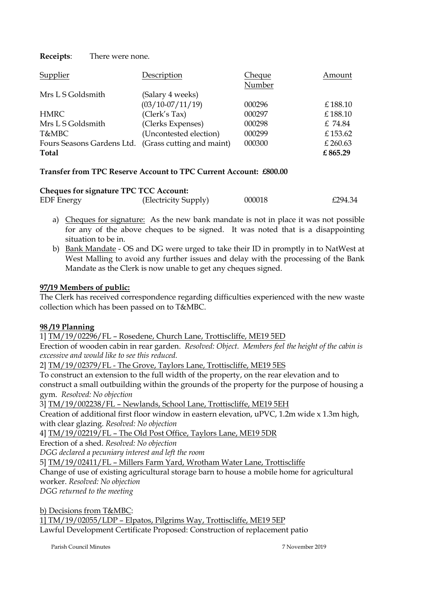**Receipts**: There were none.

| Supplier                                             | Description            | Cheque | Amount   |
|------------------------------------------------------|------------------------|--------|----------|
|                                                      |                        | Number |          |
| Mrs L S Goldsmith                                    | (Salary 4 weeks)       |        |          |
|                                                      | $(03/10-07/11/19)$     | 000296 | £188.10  |
| <b>HMRC</b>                                          | (Clerk's Tax)          | 000297 | £188.10  |
| Mrs L S Goldsmith                                    | (Clerks Expenses)      | 000298 | £ 74.84  |
| T&MBC                                                | (Uncontested election) | 000299 | £153.62  |
| Fours Seasons Gardens Ltd. (Grass cutting and maint) |                        | 000300 | £ 260.63 |
| Total                                                |                        |        | £865.29  |

## **Transfer from TPC Reserve Account to TPC Current Account: £800.00**

| <b>Cheques for signature TPC TCC Account:</b> |                      |        |         |  |
|-----------------------------------------------|----------------------|--------|---------|--|
| <b>EDF</b> Energy                             | (Electricity Supply) | 000018 | £294.34 |  |

- a) Cheques for signature: As the new bank mandate is not in place it was not possible for any of the above cheques to be signed. It was noted that is a disappointing situation to be in.
- b) Bank Mandate OS and DG were urged to take their ID in promptly in to NatWest at West Malling to avoid any further issues and delay with the processing of the Bank Mandate as the Clerk is now unable to get any cheques signed.

## **97/19 Members of public:**

The Clerk has received correspondence regarding difficulties experienced with the new waste collection which has been passed on to T&MBC.

# **98 /19 Planning**

1] TM/19/02296/FL – Rosedene, Church Lane, Trottiscliffe, ME19 5ED

Erection of wooden cabin in rear garden. *Resolved: Object. Members feel the height of the cabin is excessive and would like to see this reduced.*

2] TM/19/02379/FL - The Grove, Taylors Lane, Trottiscliffe, ME19 5ES

To construct an extension to the full width of the property, on the rear elevation and to construct a small outbuilding within the grounds of the property for the purpose of housing a gym. *Resolved: No objection*

3] TM/19/002238/FL – Newlands, School Lane, Trottiscliffe, ME19 5EH

Creation of additional first floor window in eastern elevation, uPVC, 1.2m wide x 1.3m high, with clear glazing. *Resolved: No objection*

4] TM/19/02219/FL – The Old Post Office, Taylors Lane, ME19 5DR

Erection of a shed. *Resolved: No objection*

*DGG declared a pecuniary interest and left the room*

5] TM/19/02411/FL – Millers Farm Yard, Wrotham Water Lane, Trottiscliffe

Change of use of existing agricultural storage barn to house a mobile home for agricultural worker. *Resolved: No objection*

*DGG returned to the meeting* 

b) Decisions from T&MBC:

1] TM/19/02055/LDP – Elpatos, Pilgrims Way, Trottiscliffe, ME19 5EP

Lawful Development Certificate Proposed: Construction of replacement patio

Parish Council Minutes 7 November 2019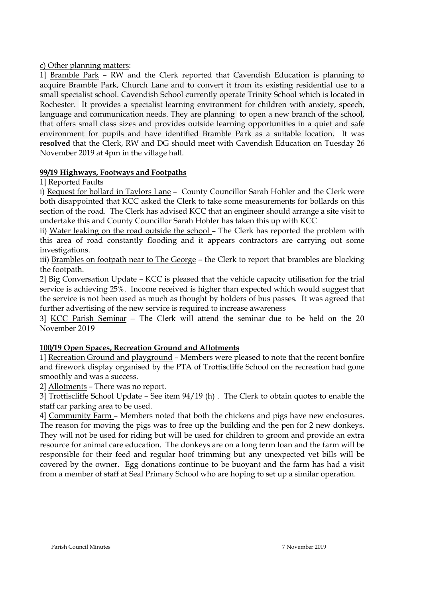## c) Other planning matters:

1] Bramble Park – RW and the Clerk reported that Cavendish Education is planning to acquire Bramble Park, Church Lane and to convert it from its existing residential use to a small specialist school. Cavendish School currently operate Trinity School which is located in Rochester. It provides a specialist learning environment for children with anxiety, speech, language and communication needs. They are planning to open a new branch of the school, that offers small class sizes and provides outside learning opportunities in a quiet and safe environment for pupils and have identified Bramble Park as a suitable location. It was **resolved** that the Clerk, RW and DG should meet with Cavendish Education on Tuesday 26 November 2019 at 4pm in the village hall.

## **99/19 Highways, Footways and Footpaths**

1] Reported Faults

i) Request for bollard in Taylors Lane - County Councillor Sarah Hohler and the Clerk were both disappointed that KCC asked the Clerk to take some measurements for bollards on this section of the road. The Clerk has advised KCC that an engineer should arrange a site visit to undertake this and County Councillor Sarah Hohler has taken this up with KCC

ii) Water leaking on the road outside the school – The Clerk has reported the problem with this area of road constantly flooding and it appears contractors are carrying out some investigations.

iii) Brambles on footpath near to The George - the Clerk to report that brambles are blocking the footpath.

2] Big Conversation Update – KCC is pleased that the vehicle capacity utilisation for the trial service is achieving 25%. Income received is higher than expected which would suggest that the service is not been used as much as thought by holders of bus passes. It was agreed that further advertising of the new service is required to increase awareness

3] KCC Parish Seminar – The Clerk will attend the seminar due to be held on the 20 November 2019

# **100/19 Open Spaces, Recreation Ground and Allotments**

1] Recreation Ground and playground – Members were pleased to note that the recent bonfire and firework display organised by the PTA of Trottiscliffe School on the recreation had gone smoothly and was a success.

2] Allotments – There was no report.

3] Trottiscliffe School Update – See item 94/19 (h) . The Clerk to obtain quotes to enable the staff car parking area to be used.

4] Community Farm – Members noted that both the chickens and pigs have new enclosures. The reason for moving the pigs was to free up the building and the pen for 2 new donkeys. They will not be used for riding but will be used for children to groom and provide an extra resource for animal care education. The donkeys are on a long term loan and the farm will be responsible for their feed and regular hoof trimming but any unexpected vet bills will be covered by the owner. Egg donations continue to be buoyant and the farm has had a visit from a member of staff at Seal Primary School who are hoping to set up a similar operation.